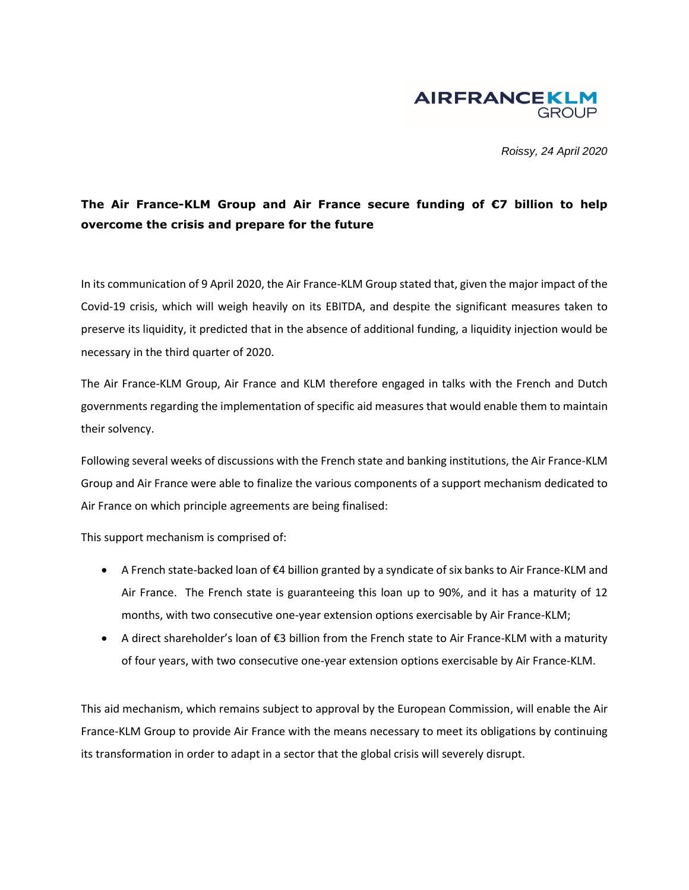

*Roissy, 24 April 2020*

## **The Air France-KLM Group and Air France secure funding of €7 billion to help overcome the crisis and prepare for the future**

In its communication of 9 April 2020, the Air France-KLM Group stated that, given the major impact of the Covid-19 crisis, which will weigh heavily on its EBITDA, and despite the significant measures taken to preserve its liquidity, it predicted that in the absence of additional funding, a liquidity injection would be necessary in the third quarter of 2020.

The Air France-KLM Group, Air France and KLM therefore engaged in talks with the French and Dutch governments regarding the implementation of specific aid measures that would enable them to maintain their solvency.

Following several weeks of discussions with the French state and banking institutions, the Air France-KLM Group and Air France were able to finalize the various components of a support mechanism dedicated to Air France on which principle agreements are being finalised:

This support mechanism is comprised of:

- A French state-backed loan of €4 billion granted by a syndicate of six banks to Air France-KLM and Air France. The French state is guaranteeing this loan up to 90%, and it has a maturity of 12 months, with two consecutive one-year extension options exercisable by Air France-KLM;
- A direct shareholder's loan of €3 billion from the French state to Air France-KLM with a maturity of four years, with two consecutive one-year extension options exercisable by Air France-KLM.

This aid mechanism, which remains subject to approval by the European Commission, will enable the Air France-KLM Group to provide Air France with the means necessary to meet its obligations by continuing its transformation in order to adapt in a sector that the global crisis will severely disrupt.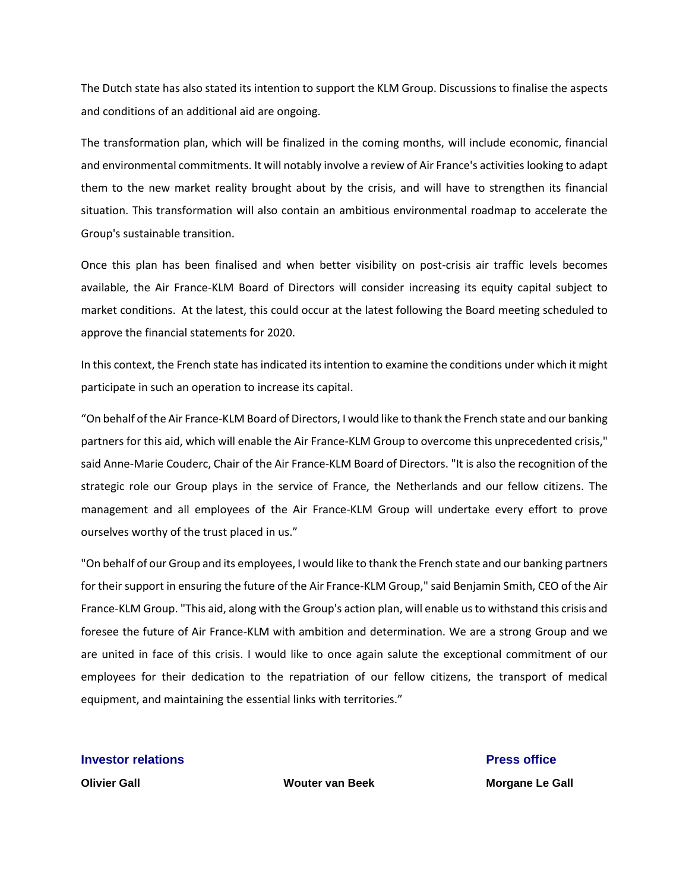The Dutch state has also stated its intention to support the KLM Group. Discussions to finalise the aspects and conditions of an additional aid are ongoing.

The transformation plan, which will be finalized in the coming months, will include economic, financial and environmental commitments. It will notably involve a review of Air France's activities looking to adapt them to the new market reality brought about by the crisis, and will have to strengthen its financial situation. This transformation will also contain an ambitious environmental roadmap to accelerate the Group's sustainable transition.

Once this plan has been finalised and when better visibility on post-crisis air traffic levels becomes available, the Air France-KLM Board of Directors will consider increasing its equity capital subject to market conditions. At the latest, this could occur at the latest following the Board meeting scheduled to approve the financial statements for 2020.

In this context, the French state has indicated its intention to examine the conditions under which it might participate in such an operation to increase its capital.

"On behalf of the Air France-KLM Board of Directors, I would like to thank the French state and our banking partners for this aid, which will enable the Air France-KLM Group to overcome this unprecedented crisis," said Anne-Marie Couderc, Chair of the Air France-KLM Board of Directors. "It is also the recognition of the strategic role our Group plays in the service of France, the Netherlands and our fellow citizens. The management and all employees of the Air France-KLM Group will undertake every effort to prove ourselves worthy of the trust placed in us."

"On behalf of our Group and its employees, I would like to thank the French state and our banking partners for their support in ensuring the future of the Air France-KLM Group," said Benjamin Smith, CEO of the Air France-KLM Group. "This aid, along with the Group's action plan, will enable us to withstand this crisis and foresee the future of Air France-KLM with ambition and determination. We are a strong Group and we are united in face of this crisis. I would like to once again salute the exceptional commitment of our employees for their dedication to the repatriation of our fellow citizens, the transport of medical equipment, and maintaining the essential links with territories."

**Investor relations** *Press office* 

**Olivier Gall Wouter van Beek Morgane Le Gall**